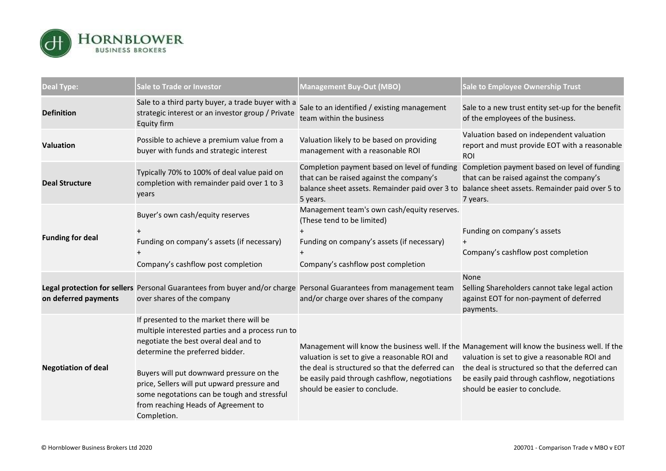

| <b>Deal Type:</b>          | <b>Sale to Trade or Investor</b>                                                                                                                                                                                                                                                                                                                                         | <b>Management Buy-Out (MBO)</b>                                                                                                                                                    | <b>Sale to Employee Ownership Trust</b>                                                                                                                                                                                                                                             |
|----------------------------|--------------------------------------------------------------------------------------------------------------------------------------------------------------------------------------------------------------------------------------------------------------------------------------------------------------------------------------------------------------------------|------------------------------------------------------------------------------------------------------------------------------------------------------------------------------------|-------------------------------------------------------------------------------------------------------------------------------------------------------------------------------------------------------------------------------------------------------------------------------------|
| <b>Definition</b>          | Sale to a third party buyer, a trade buyer with a<br>strategic interest or an investor group / Private<br><b>Equity firm</b>                                                                                                                                                                                                                                             | Sale to an identified / existing management<br>team within the business                                                                                                            | Sale to a new trust entity set-up for the benefit<br>of the employees of the business.                                                                                                                                                                                              |
| <b>Valuation</b>           | Possible to achieve a premium value from a<br>buyer with funds and strategic interest                                                                                                                                                                                                                                                                                    | Valuation likely to be based on providing<br>management with a reasonable ROI                                                                                                      | Valuation based on independent valuation<br>report and must provide EOT with a reasonable<br><b>ROI</b>                                                                                                                                                                             |
| <b>Deal Structure</b>      | Typically 70% to 100% of deal value paid on<br>completion with remainder paid over 1 to 3<br>years                                                                                                                                                                                                                                                                       | Completion payment based on level of funding<br>that can be raised against the company's<br>balance sheet assets. Remainder paid over 3 to<br>5 years.                             | Completion payment based on level of funding<br>that can be raised against the company's<br>balance sheet assets. Remainder paid over 5 to<br>7 years.                                                                                                                              |
| <b>Funding for deal</b>    | Buyer's own cash/equity reserves<br>Funding on company's assets (if necessary)<br>Company's cashflow post completion                                                                                                                                                                                                                                                     | Management team's own cash/equity reserves.<br>(These tend to be limited)<br>Funding on company's assets (if necessary)<br>Company's cashflow post completion                      | Funding on company's assets<br>$+$<br>Company's cashflow post completion                                                                                                                                                                                                            |
| on deferred payments       | Legal protection for sellers Personal Guarantees from buyer and/or charge Personal Guarantees from management team<br>over shares of the company                                                                                                                                                                                                                         | and/or charge over shares of the company                                                                                                                                           | None<br>Selling Shareholders cannot take legal action<br>against EOT for non-payment of deferred<br>payments.                                                                                                                                                                       |
| <b>Negotiation of deal</b> | If presented to the market there will be<br>multiple interested parties and a process run to<br>negotiate the best overal deal and to<br>determine the preferred bidder.<br>Buyers will put downward pressure on the<br>price, Sellers will put upward pressure and<br>some negotations can be tough and stressful<br>from reaching Heads of Agreement to<br>Completion. | valuation is set to give a reasonable ROI and<br>the deal is structured so that the deferred can<br>be easily paid through cashflow, negotiations<br>should be easier to conclude. | Management will know the business well. If the Management will know the business well. If the<br>valuation is set to give a reasonable ROI and<br>the deal is structured so that the deferred can<br>be easily paid through cashflow, negotiations<br>should be easier to conclude. |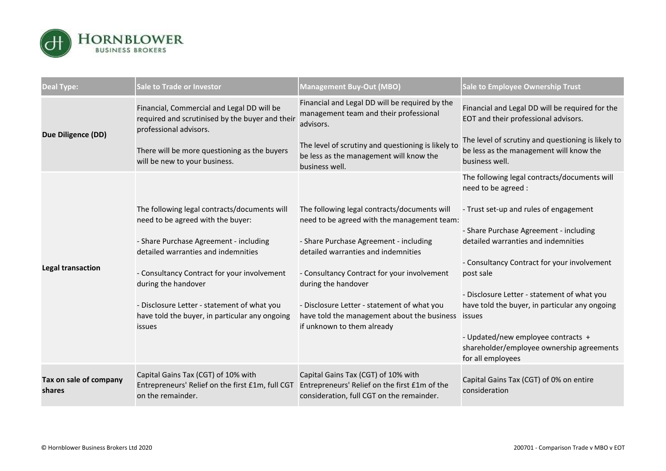

| <b>Deal Type:</b>                | <b>Sale to Trade or Investor</b>                                                                                        | <b>Management Buy-Out (MBO)</b>                                                                                                   | <b>Sale to Employee Ownership Trust</b>                                                                         |
|----------------------------------|-------------------------------------------------------------------------------------------------------------------------|-----------------------------------------------------------------------------------------------------------------------------------|-----------------------------------------------------------------------------------------------------------------|
| <b>Due Diligence (DD)</b>        | Financial, Commercial and Legal DD will be<br>required and scrutinised by the buyer and their<br>professional advisors. | Financial and Legal DD will be required by the<br>management team and their professional<br>advisors.                             | Financial and Legal DD will be required for the<br>EOT and their professional advisors.                         |
|                                  | There will be more questioning as the buyers<br>will be new to your business.                                           | The level of scrutiny and questioning is likely to<br>be less as the management will know the<br>business well.                   | The level of scrutiny and questioning is likely to<br>be less as the management will know the<br>business well. |
| <b>Legal transaction</b>         |                                                                                                                         |                                                                                                                                   | The following legal contracts/documents will<br>need to be agreed :                                             |
|                                  | The following legal contracts/documents will<br>need to be agreed with the buyer:                                       | The following legal contracts/documents will<br>need to be agreed with the management team:                                       | - Trust set-up and rules of engagement                                                                          |
|                                  | - Share Purchase Agreement - including<br>detailed warranties and indemnities                                           | - Share Purchase Agreement - including<br>detailed warranties and indemnities                                                     | - Share Purchase Agreement - including<br>detailed warranties and indemnities                                   |
|                                  | - Consultancy Contract for your involvement<br>during the handover                                                      | - Consultancy Contract for your involvement<br>during the handover                                                                | - Consultancy Contract for your involvement<br>post sale                                                        |
|                                  | - Disclosure Letter - statement of what you<br>have told the buyer, in particular any ongoing<br>issues                 | - Disclosure Letter - statement of what you<br>have told the management about the business<br>if unknown to them already          | - Disclosure Letter - statement of what you<br>have told the buyer, in particular any ongoing<br>issues         |
|                                  |                                                                                                                         |                                                                                                                                   | - Updated/new employee contracts +<br>shareholder/employee ownership agreements<br>for all employees            |
| Tax on sale of company<br>shares | Capital Gains Tax (CGT) of 10% with<br>Entrepreneurs' Relief on the first £1m, full CGT<br>on the remainder.            | Capital Gains Tax (CGT) of 10% with<br>Entrepreneurs' Relief on the first £1m of the<br>consideration, full CGT on the remainder. | Capital Gains Tax (CGT) of 0% on entire<br>consideration                                                        |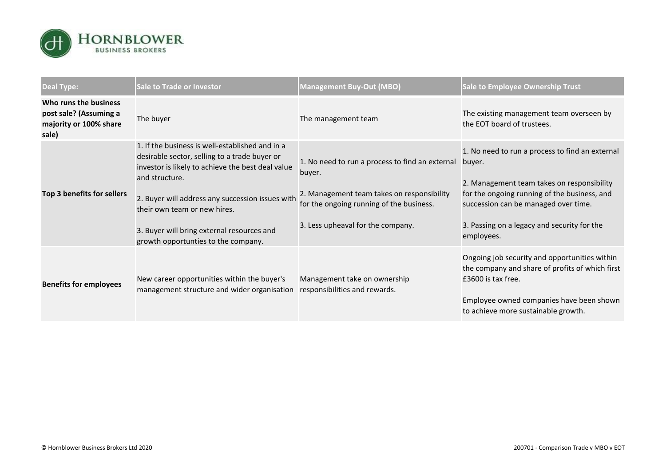

| <b>Deal Type:</b>                                                                  | <b>Sale to Trade or Investor</b>                                                                                                                                                                                                                                                                                                                 | <b>Management Buy-Out (MBO)</b>                                                                                                                                                          | Sale to Employee Ownership Trust                                                                                                                                                                                                                             |
|------------------------------------------------------------------------------------|--------------------------------------------------------------------------------------------------------------------------------------------------------------------------------------------------------------------------------------------------------------------------------------------------------------------------------------------------|------------------------------------------------------------------------------------------------------------------------------------------------------------------------------------------|--------------------------------------------------------------------------------------------------------------------------------------------------------------------------------------------------------------------------------------------------------------|
| Who runs the business<br>post sale? (Assuming a<br>majority or 100% share<br>sale) | The buyer                                                                                                                                                                                                                                                                                                                                        | The management team                                                                                                                                                                      | The existing management team overseen by<br>the EOT board of trustees.                                                                                                                                                                                       |
| Top 3 benefits for sellers                                                         | 1. If the business is well-established and in a<br>desirable sector, selling to a trade buyer or<br>investor is likely to achieve the best deal value<br>and structure.<br>2. Buyer will address any succession issues with<br>their own team or new hires.<br>3. Buyer will bring external resources and<br>growth opportunties to the company. | 1. No need to run a process to find an external<br>buyer.<br>2. Management team takes on responsibility<br>for the ongoing running of the business.<br>3. Less upheaval for the company. | 1. No need to run a process to find an external<br>buyer.<br>2. Management team takes on responsibility<br>for the ongoing running of the business, and<br>succession can be managed over time.<br>3. Passing on a legacy and security for the<br>employees. |
| <b>Benefits for employees</b>                                                      | New career opportunities within the buyer's<br>management structure and wider organisation                                                                                                                                                                                                                                                       | Management take on ownership<br>responsibilities and rewards.                                                                                                                            | Ongoing job security and opportunities within<br>the company and share of profits of which first<br>£3600 is tax free.<br>Employee owned companies have been shown<br>to achieve more sustainable growth.                                                    |